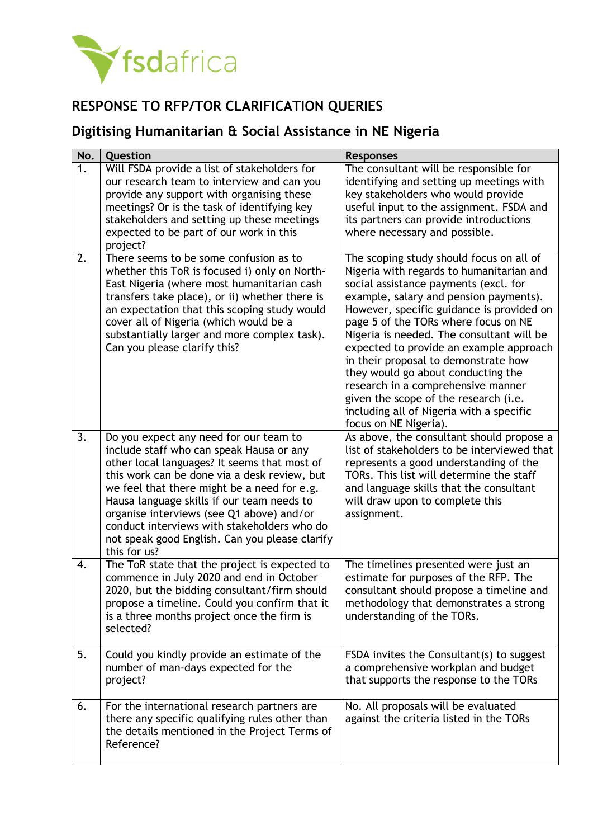

## **RESPONSE TO RFP/TOR CLARIFICATION QUERIES**

## **Digitising Humanitarian & Social Assistance in NE Nigeria**

| No. | Question                                                                                                                                                                                                                                                                                                                                                                                                                                      | <b>Responses</b>                                                                                                                                                                                                                                                                                                                                                                                                                                                                                                                                                                       |
|-----|-----------------------------------------------------------------------------------------------------------------------------------------------------------------------------------------------------------------------------------------------------------------------------------------------------------------------------------------------------------------------------------------------------------------------------------------------|----------------------------------------------------------------------------------------------------------------------------------------------------------------------------------------------------------------------------------------------------------------------------------------------------------------------------------------------------------------------------------------------------------------------------------------------------------------------------------------------------------------------------------------------------------------------------------------|
| 1.  | Will FSDA provide a list of stakeholders for<br>our research team to interview and can you<br>provide any support with organising these<br>meetings? Or is the task of identifying key<br>stakeholders and setting up these meetings<br>expected to be part of our work in this<br>project?                                                                                                                                                   | The consultant will be responsible for<br>identifying and setting up meetings with<br>key stakeholders who would provide<br>useful input to the assignment. FSDA and<br>its partners can provide introductions<br>where necessary and possible.                                                                                                                                                                                                                                                                                                                                        |
| 2.  | There seems to be some confusion as to<br>whether this ToR is focused i) only on North-<br>East Nigeria (where most humanitarian cash<br>transfers take place), or ii) whether there is<br>an expectation that this scoping study would<br>cover all of Nigeria (which would be a<br>substantially larger and more complex task).<br>Can you please clarify this?                                                                             | The scoping study should focus on all of<br>Nigeria with regards to humanitarian and<br>social assistance payments (excl. for<br>example, salary and pension payments).<br>However, specific guidance is provided on<br>page 5 of the TORs where focus on NE<br>Nigeria is needed. The consultant will be<br>expected to provide an example approach<br>in their proposal to demonstrate how<br>they would go about conducting the<br>research in a comprehensive manner<br>given the scope of the research (i.e.<br>including all of Nigeria with a specific<br>focus on NE Nigeria). |
| 3.  | Do you expect any need for our team to<br>include staff who can speak Hausa or any<br>other local languages? It seems that most of<br>this work can be done via a desk review, but<br>we feel that there might be a need for e.g.<br>Hausa language skills if our team needs to<br>organise interviews (see Q1 above) and/or<br>conduct interviews with stakeholders who do<br>not speak good English. Can you please clarify<br>this for us? | As above, the consultant should propose a<br>list of stakeholders to be interviewed that<br>represents a good understanding of the<br>TORs. This list will determine the staff<br>and language skills that the consultant<br>will draw upon to complete this<br>assignment.                                                                                                                                                                                                                                                                                                            |
| 4.  | The ToR state that the project is expected to<br>commence in July 2020 and end in October<br>2020, but the bidding consultant/firm should<br>propose a timeline. Could you confirm that it<br>is a three months project once the firm is<br>selected?                                                                                                                                                                                         | The timelines presented were just an<br>estimate for purposes of the RFP. The<br>consultant should propose a timeline and<br>methodology that demonstrates a strong<br>understanding of the TORs.                                                                                                                                                                                                                                                                                                                                                                                      |
| 5.  | Could you kindly provide an estimate of the<br>number of man-days expected for the<br>project?                                                                                                                                                                                                                                                                                                                                                | FSDA invites the Consultant(s) to suggest<br>a comprehensive workplan and budget<br>that supports the response to the TORs                                                                                                                                                                                                                                                                                                                                                                                                                                                             |
| 6.  | For the international research partners are<br>there any specific qualifying rules other than<br>the details mentioned in the Project Terms of<br>Reference?                                                                                                                                                                                                                                                                                  | No. All proposals will be evaluated<br>against the criteria listed in the TORs                                                                                                                                                                                                                                                                                                                                                                                                                                                                                                         |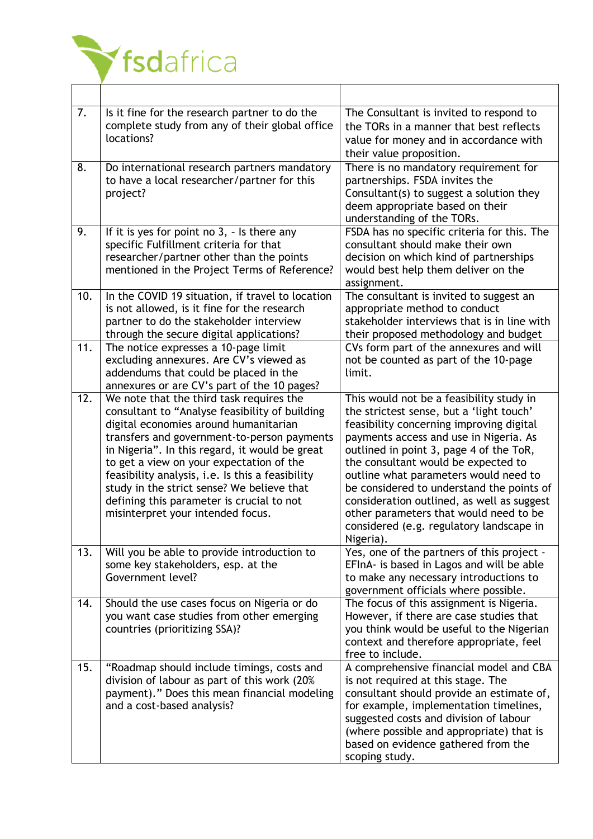

| 7.  | Is it fine for the research partner to do the<br>complete study from any of their global office<br>locations?                                                                                                                                                                                                                                                                                                                                                        | The Consultant is invited to respond to<br>the TORs in a manner that best reflects<br>value for money and in accordance with<br>their value proposition.                                                                                                                                                                                                                                                                                                                                            |
|-----|----------------------------------------------------------------------------------------------------------------------------------------------------------------------------------------------------------------------------------------------------------------------------------------------------------------------------------------------------------------------------------------------------------------------------------------------------------------------|-----------------------------------------------------------------------------------------------------------------------------------------------------------------------------------------------------------------------------------------------------------------------------------------------------------------------------------------------------------------------------------------------------------------------------------------------------------------------------------------------------|
| 8.  | Do international research partners mandatory<br>to have a local researcher/partner for this<br>project?                                                                                                                                                                                                                                                                                                                                                              | There is no mandatory requirement for<br>partnerships. FSDA invites the<br>Consultant(s) to suggest a solution they<br>deem appropriate based on their<br>understanding of the TORs.                                                                                                                                                                                                                                                                                                                |
| 9.  | If it is yes for point no $3$ , $-$ Is there any<br>specific Fulfillment criteria for that<br>researcher/partner other than the points<br>mentioned in the Project Terms of Reference?                                                                                                                                                                                                                                                                               | FSDA has no specific criteria for this. The<br>consultant should make their own<br>decision on which kind of partnerships<br>would best help them deliver on the<br>assignment.                                                                                                                                                                                                                                                                                                                     |
| 10. | In the COVID 19 situation, if travel to location<br>is not allowed, is it fine for the research<br>partner to do the stakeholder interview<br>through the secure digital applications?                                                                                                                                                                                                                                                                               | The consultant is invited to suggest an<br>appropriate method to conduct<br>stakeholder interviews that is in line with<br>their proposed methodology and budget                                                                                                                                                                                                                                                                                                                                    |
| 11. | The notice expresses a 10-page limit<br>excluding annexures. Are CV's viewed as<br>addendums that could be placed in the<br>annexures or are CV's part of the 10 pages?                                                                                                                                                                                                                                                                                              | CVs form part of the annexures and will<br>not be counted as part of the 10-page<br>limit.                                                                                                                                                                                                                                                                                                                                                                                                          |
| 12. | We note that the third task requires the<br>consultant to "Analyse feasibility of building<br>digital economies around humanitarian<br>transfers and government-to-person payments<br>in Nigeria". In this regard, it would be great<br>to get a view on your expectation of the<br>feasibility analysis, i.e. Is this a feasibility<br>study in the strict sense? We believe that<br>defining this parameter is crucial to not<br>misinterpret your intended focus. | This would not be a feasibility study in<br>the strictest sense, but a 'light touch'<br>feasibility concerning improving digital<br>payments access and use in Nigeria. As<br>outlined in point 3, page 4 of the ToR,<br>the consultant would be expected to<br>outline what parameters would need to<br>be considered to understand the points of<br>consideration outlined, as well as suggest<br>other parameters that would need to be<br>considered (e.g. regulatory landscape in<br>Nigeria). |
| 13. | Will you be able to provide introduction to<br>some key stakeholders, esp. at the<br>Government level?                                                                                                                                                                                                                                                                                                                                                               | Yes, one of the partners of this project -<br>EFInA- is based in Lagos and will be able<br>to make any necessary introductions to<br>government officials where possible.                                                                                                                                                                                                                                                                                                                           |
| 14. | Should the use cases focus on Nigeria or do<br>you want case studies from other emerging<br>countries (prioritizing SSA)?                                                                                                                                                                                                                                                                                                                                            | The focus of this assignment is Nigeria.<br>However, if there are case studies that<br>you think would be useful to the Nigerian<br>context and therefore appropriate, feel<br>free to include.                                                                                                                                                                                                                                                                                                     |
| 15. | "Roadmap should include timings, costs and<br>division of labour as part of this work (20%<br>payment)." Does this mean financial modeling<br>and a cost-based analysis?                                                                                                                                                                                                                                                                                             | A comprehensive financial model and CBA<br>is not required at this stage. The<br>consultant should provide an estimate of,<br>for example, implementation timelines,<br>suggested costs and division of labour<br>(where possible and appropriate) that is<br>based on evidence gathered from the<br>scoping study.                                                                                                                                                                                 |